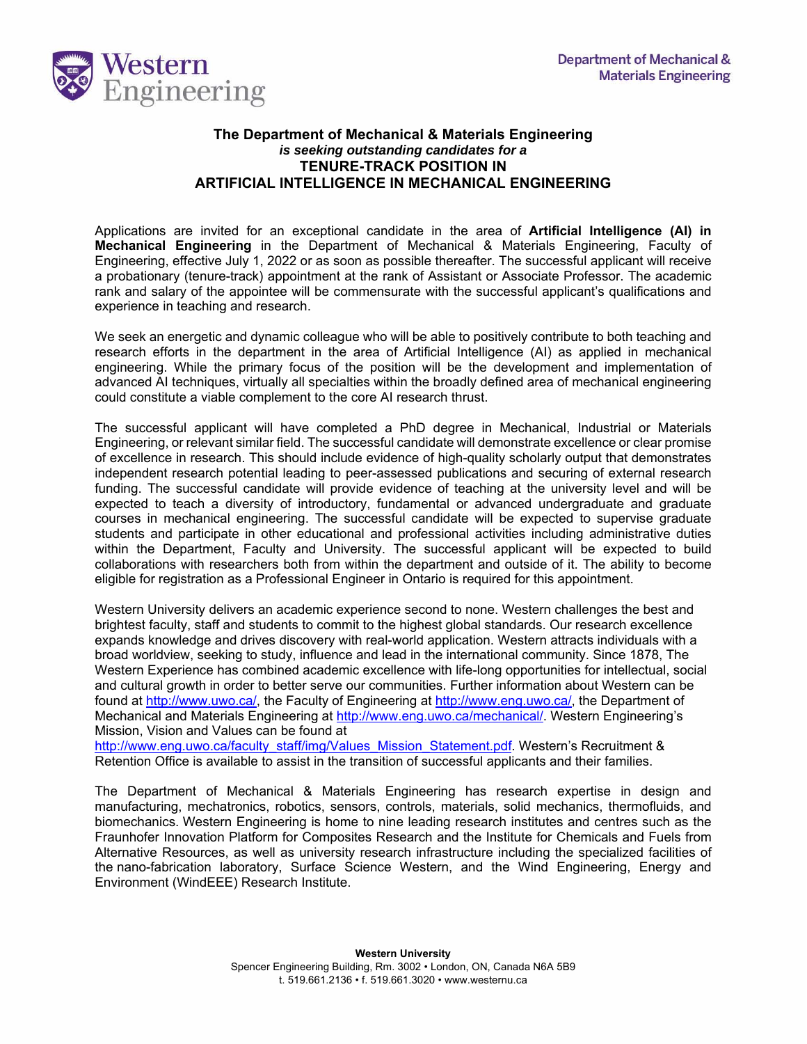

## **The Department of Mechanical & Materials Engineering**  *is seeking outstanding candidates for a*  **TENURE-TRACK POSITION IN ARTIFICIAL INTELLIGENCE IN MECHANICAL ENGINEERING**

Applications are invited for an exceptional candidate in the area of **Artificial Intelligence (AI) in Mechanical Engineering** in the Department of Mechanical & Materials Engineering, Faculty of Engineering, effective July 1, 2022 or as soon as possible thereafter. The successful applicant will receive a probationary (tenure-track) appointment at the rank of Assistant or Associate Professor. The academic rank and salary of the appointee will be commensurate with the successful applicant's qualifications and experience in teaching and research.

We seek an energetic and dynamic colleague who will be able to positively contribute to both teaching and research efforts in the department in the area of Artificial Intelligence (AI) as applied in mechanical engineering. While the primary focus of the position will be the development and implementation of advanced AI techniques, virtually all specialties within the broadly defined area of mechanical engineering could constitute a viable complement to the core AI research thrust.

The successful applicant will have completed a PhD degree in Mechanical, Industrial or Materials Engineering, or relevant similar field. The successful candidate will demonstrate excellence or clear promise of excellence in research. This should include evidence of high-quality scholarly output that demonstrates independent research potential leading to peer-assessed publications and securing of external research funding. The successful candidate will provide evidence of teaching at the university level and will be expected to teach a diversity of introductory, fundamental or advanced undergraduate and graduate courses in mechanical engineering. The successful candidate will be expected to supervise graduate students and participate in other educational and professional activities including administrative duties within the Department, Faculty and University. The successful applicant will be expected to build collaborations with researchers both from within the department and outside of it. The ability to become eligible for registration as a Professional Engineer in Ontario is required for this appointment.

Western University delivers an academic experience second to none. Western challenges the best and brightest faculty, staff and students to commit to the highest global standards. Our research excellence expands knowledge and drives discovery with real-world application. Western attracts individuals with a broad worldview, seeking to study, influence and lead in the international community. Since 1878, The Western Experience has combined academic excellence with life-long opportunities for intellectual, social and cultural growth in order to better serve our communities. Further information about Western can be found at http://www.uwo.ca/, the Faculty of Engineering at http://www.eng.uwo.ca/, the Department of Mechanical and Materials Engineering at http://www.eng.uwo.ca/mechanical/. Western Engineering's Mission, Vision and Values can be found at

http://www.eng.uwo.ca/faculty\_staff/img/Values\_Mission\_Statement.pdf. Western's Recruitment & Retention Office is available to assist in the transition of successful applicants and their families.

The Department of Mechanical & Materials Engineering has research expertise in design and manufacturing, mechatronics, robotics, sensors, controls, materials, solid mechanics, thermofluids, and biomechanics. Western Engineering is home to nine leading research institutes and centres such as the Fraunhofer Innovation Platform for Composites Research and the Institute for Chemicals and Fuels from Alternative Resources, as well as university research infrastructure including the specialized facilities of the nano-fabrication laboratory, Surface Science Western, and the Wind Engineering, Energy and Environment (WindEEE) Research Institute.